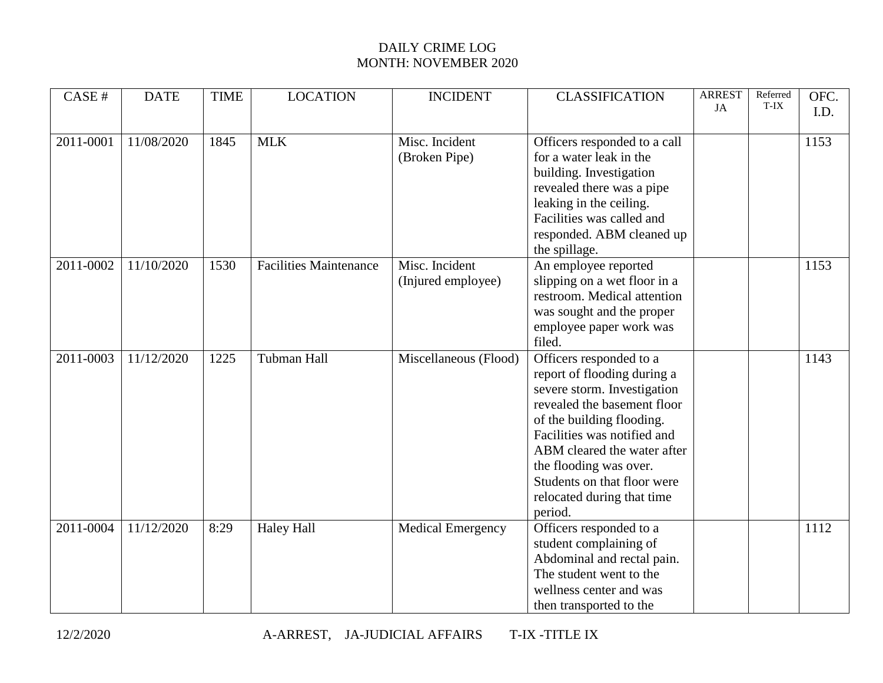## DAILY CRIME LOG MONTH: NOVEMBER 2020

| CASE#     | <b>DATE</b> | <b>TIME</b> | <b>LOCATION</b>               | <b>INCIDENT</b>          | <b>CLASSIFICATION</b>        | <b>ARREST</b><br>JA | Referred<br>T-IX | OFC. |
|-----------|-------------|-------------|-------------------------------|--------------------------|------------------------------|---------------------|------------------|------|
|           |             |             |                               |                          |                              |                     |                  | I.D. |
| 2011-0001 | 11/08/2020  | 1845        | <b>MLK</b>                    | Misc. Incident           | Officers responded to a call |                     |                  | 1153 |
|           |             |             |                               | (Broken Pipe)            | for a water leak in the      |                     |                  |      |
|           |             |             |                               |                          | building. Investigation      |                     |                  |      |
|           |             |             |                               |                          | revealed there was a pipe    |                     |                  |      |
|           |             |             |                               |                          | leaking in the ceiling.      |                     |                  |      |
|           |             |             |                               |                          | Facilities was called and    |                     |                  |      |
|           |             |             |                               |                          | responded. ABM cleaned up    |                     |                  |      |
|           |             |             |                               |                          | the spillage.                |                     |                  |      |
| 2011-0002 | 11/10/2020  | 1530        | <b>Facilities Maintenance</b> | Misc. Incident           | An employee reported         |                     |                  | 1153 |
|           |             |             |                               | (Injured employee)       | slipping on a wet floor in a |                     |                  |      |
|           |             |             |                               |                          | restroom. Medical attention  |                     |                  |      |
|           |             |             |                               |                          | was sought and the proper    |                     |                  |      |
|           |             |             |                               |                          | employee paper work was      |                     |                  |      |
|           |             |             |                               |                          | filed.                       |                     |                  |      |
| 2011-0003 | 11/12/2020  | 1225        | <b>Tubman Hall</b>            | Miscellaneous (Flood)    | Officers responded to a      |                     |                  | 1143 |
|           |             |             |                               |                          | report of flooding during a  |                     |                  |      |
|           |             |             |                               |                          | severe storm. Investigation  |                     |                  |      |
|           |             |             |                               |                          | revealed the basement floor  |                     |                  |      |
|           |             |             |                               |                          | of the building flooding.    |                     |                  |      |
|           |             |             |                               |                          | Facilities was notified and  |                     |                  |      |
|           |             |             |                               |                          | ABM cleared the water after  |                     |                  |      |
|           |             |             |                               |                          | the flooding was over.       |                     |                  |      |
|           |             |             |                               |                          | Students on that floor were  |                     |                  |      |
|           |             |             |                               |                          | relocated during that time   |                     |                  |      |
|           |             |             |                               |                          | period.                      |                     |                  |      |
| 2011-0004 | 11/12/2020  | 8:29        | <b>Haley Hall</b>             | <b>Medical Emergency</b> | Officers responded to a      |                     |                  | 1112 |
|           |             |             |                               |                          | student complaining of       |                     |                  |      |
|           |             |             |                               |                          | Abdominal and rectal pain.   |                     |                  |      |
|           |             |             |                               |                          | The student went to the      |                     |                  |      |
|           |             |             |                               |                          | wellness center and was      |                     |                  |      |
|           |             |             |                               |                          | then transported to the      |                     |                  |      |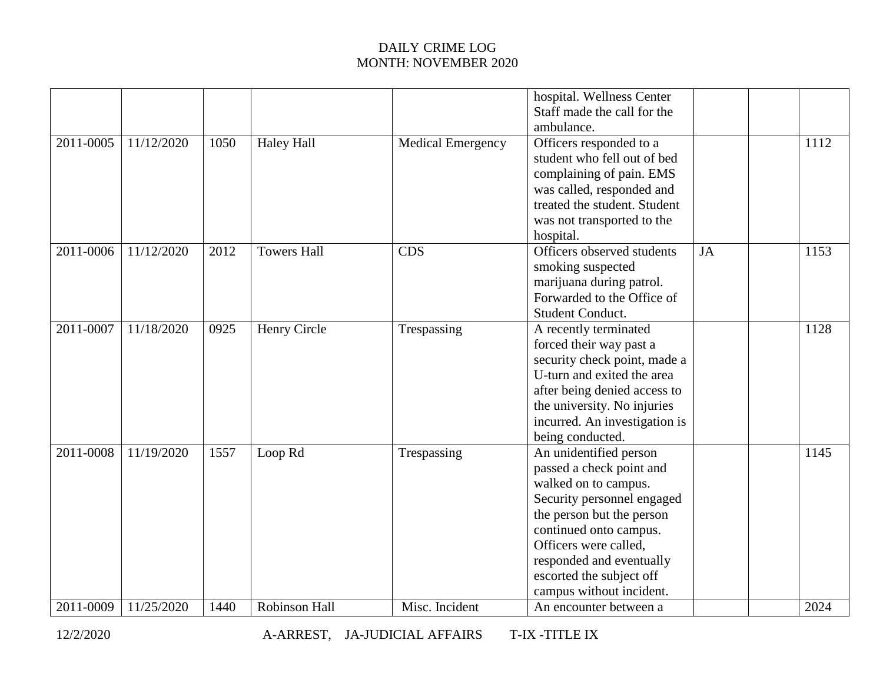## DAILY CRIME LOG MONTH: NOVEMBER 2020

|           |            |      |                    |                          | hospital. Wellness Center<br>Staff made the call for the<br>ambulance.                                                                                                                                                                                                       |           |      |
|-----------|------------|------|--------------------|--------------------------|------------------------------------------------------------------------------------------------------------------------------------------------------------------------------------------------------------------------------------------------------------------------------|-----------|------|
| 2011-0005 | 11/12/2020 | 1050 | <b>Haley Hall</b>  | <b>Medical Emergency</b> | Officers responded to a<br>student who fell out of bed<br>complaining of pain. EMS<br>was called, responded and<br>treated the student. Student<br>was not transported to the<br>hospital.                                                                                   |           | 1112 |
| 2011-0006 | 11/12/2020 | 2012 | <b>Towers Hall</b> | <b>CDS</b>               | Officers observed students<br>smoking suspected<br>marijuana during patrol.<br>Forwarded to the Office of<br>Student Conduct.                                                                                                                                                | <b>JA</b> | 1153 |
| 2011-0007 | 11/18/2020 | 0925 | Henry Circle       | Trespassing              | A recently terminated<br>forced their way past a<br>security check point, made a<br>U-turn and exited the area<br>after being denied access to<br>the university. No injuries<br>incurred. An investigation is<br>being conducted.                                           |           | 1128 |
| 2011-0008 | 11/19/2020 | 1557 | Loop Rd            | Trespassing              | An unidentified person<br>passed a check point and<br>walked on to campus.<br>Security personnel engaged<br>the person but the person<br>continued onto campus.<br>Officers were called,<br>responded and eventually<br>escorted the subject off<br>campus without incident. |           | 1145 |
| 2011-0009 | 11/25/2020 | 1440 | Robinson Hall      | Misc. Incident           | An encounter between a                                                                                                                                                                                                                                                       |           | 2024 |